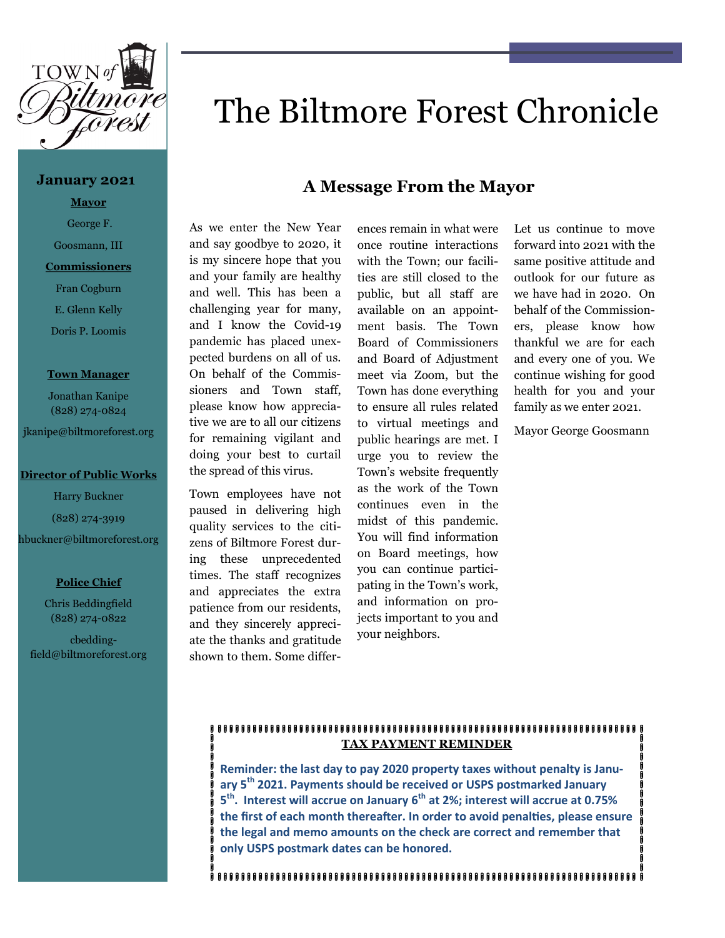

### **January 2021**

**Mayor** George F.

Goosmann, III

# **Commissioners**

Fran Cogburn E. Glenn Kelly

Doris P. Loomis

### **Town Manager**

Jonathan Kanipe (828) 274-0824

jkanipe@biltmoreforest.org

# **Director of Public Works**

Harry Buckner

(828) 274-3919

hbuckner@biltmoreforest.org

# **Police Chief**

Chris Beddingfield (828) 274-0822

 cbeddingfield@biltmoreforest.org

# The Biltmore Forest Chronicle

# **A Message From the Mayor**

As we enter the New Year and say goodbye to 2020, it is my sincere hope that you and your family are healthy and well. This has been a challenging year for many, and I know the Covid-19 pandemic has placed unexpected burdens on all of us. On behalf of the Commissioners and Town staff, please know how appreciative we are to all our citizens for remaining vigilant and doing your best to curtail the spread of this virus.

Town employees have not paused in delivering high quality services to the citizens of Biltmore Forest during these unprecedented times. The staff recognizes and appreciates the extra patience from our residents, and they sincerely appreciate the thanks and gratitude shown to them. Some differ-

ences remain in what were once routine interactions with the Town; our facilities are still closed to the public, but all staff are available on an appointment basis. The Town Board of Commissioners and Board of Adjustment meet via Zoom, but the Town has done everything to ensure all rules related to virtual meetings and public hearings are met. I urge you to review the Town's website frequently as the work of the Town continues even in the midst of this pandemic. You will find information on Board meetings, how you can continue participating in the Town's work, and information on projects important to you and your neighbors.

Let us continue to move forward into 2021 with the same positive attitude and outlook for our future as we have had in 2020. On behalf of the Commissioners, please know how thankful we are for each and every one of you. We continue wishing for good health for you and your family as we enter 2021.

Mayor George Goosmann

#### 8888888888888888888888888888888888888 **TAX PAYMENT REMINDER**

**Reminder: the last day to pay 2020 property taxes without penalty is January 5th 2021. Payments should be received or USPS postmarked January 5 th . Interest will accrue on January 6th at 2%; interest will accrue at 0.75% the first of each month thereafter. In order to avoid penalties, please ensure the legal and memo amounts on the check are correct and remember that only USPS postmark dates can be honored.**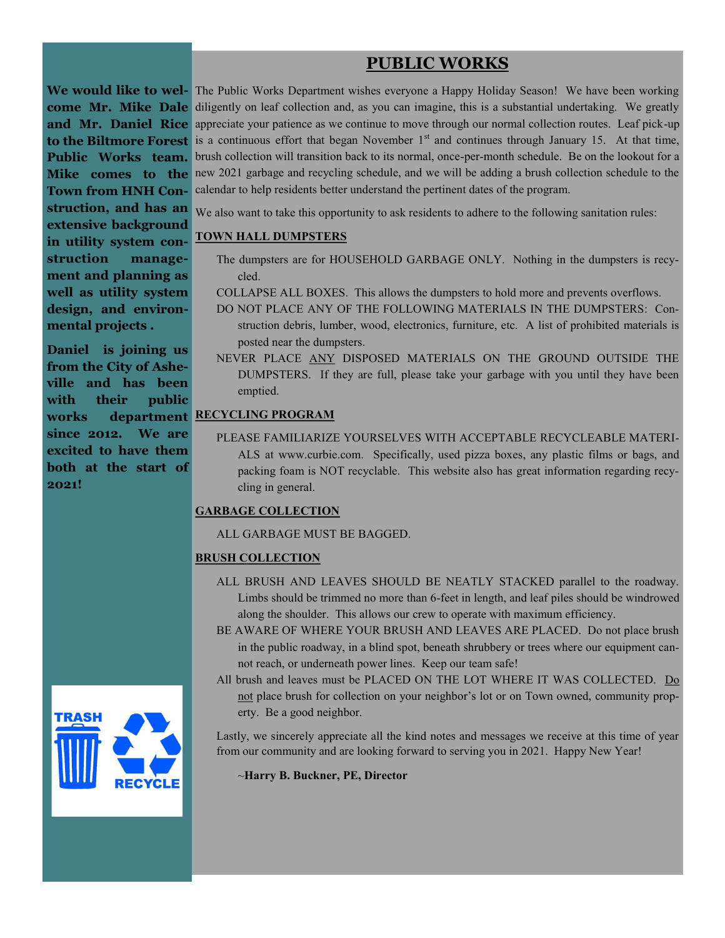# **PUBLIC WORKS**

**extensive background in utility system construction management and planning as well as utility system design, and environmental projects .** 

**Daniel is joining us from the City of Asheville and has been with their public works department RECYCLING PROGRAM since 2012. We are excited to have them both at the start of 2021!**



We would like to wel- The Public Works Department wishes everyone a Happy Holiday Season! We have been working **come Mr. Mike Dale** diligently on leaf collection and, as you can imagine, this is a substantial undertaking. We greatly **and Mr. Daniel Rice** appreciate your patience as we continue to move through our normal collection routes. Leaf pick-up to the Biltmore Forest is a continuous effort that began November 1<sup>st</sup> and continues through January 15. At that time, Public Works team. brush collection will transition back to its normal, once-per-month schedule. Be on the lookout for a **Mike** comes to the new 2021 garbage and recycling schedule, and we will be adding a brush collection schedule to the **Town from HNH Con-**calendar to help residents better understand the pertinent dates of the program.

**struction, and has an** We also want to take this opportunity to ask residents to adhere to the following sanitation rules:

# **TOWN HALL DUMPSTERS**

- The dumpsters are for HOUSEHOLD GARBAGE ONLY. Nothing in the dumpsters is recycled.
- COLLAPSE ALL BOXES. This allows the dumpsters to hold more and prevents overflows.
- DO NOT PLACE ANY OF THE FOLLOWING MATERIALS IN THE DUMPSTERS: Construction debris, lumber, wood, electronics, furniture, etc. A list of prohibited materials is posted near the dumpsters.
- NEVER PLACE ANY DISPOSED MATERIALS ON THE GROUND OUTSIDE THE DUMPSTERS. If they are full, please take your garbage with you until they have been emptied.

PLEASE FAMILIARIZE YOURSELVES WITH ACCEPTABLE RECYCLEABLE MATERI-ALS at [www.curbie.com.](http://www.curbie.com) Specifically, used pizza boxes, any plastic films or bags, and packing foam is NOT recyclable. This website also has great information regarding recycling in general.

# **GARBAGE COLLECTION**

ALL GARBAGE MUST BE BAGGED.

# **BRUSH COLLECTION**

- ALL BRUSH AND LEAVES SHOULD BE NEATLY STACKED parallel to the roadway. Limbs should be trimmed no more than 6-feet in length, and leaf piles should be windrowed along the shoulder. This allows our crew to operate with maximum efficiency.
- BE AWARE OF WHERE YOUR BRUSH AND LEAVES ARE PLACED. Do not place brush in the public roadway, in a blind spot, beneath shrubbery or trees where our equipment cannot reach, or underneath power lines. Keep our team safe!
- All brush and leaves must be PLACED ON THE LOT WHERE IT WAS COLLECTED. Do not place brush for collection on your neighbor's lot or on Town owned, community property. Be a good neighbor.

Lastly, we sincerely appreciate all the kind notes and messages we receive at this time of year from our community and are looking forward to serving you in 2021. Happy New Year!

~**Harry B. Buckner, PE, Director**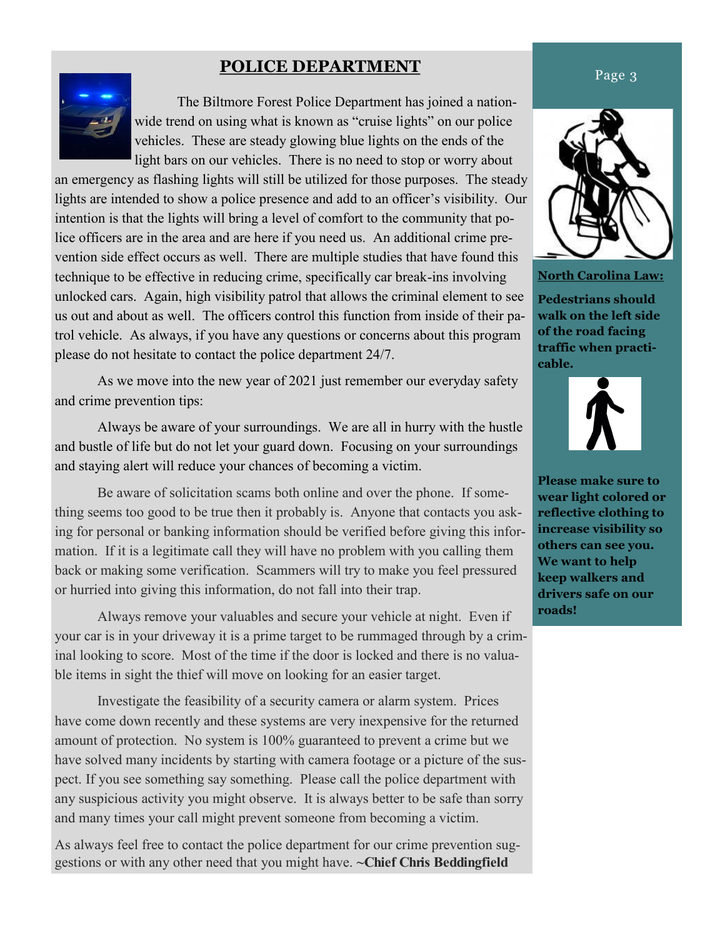# **POLICE DEPARTMENT**



The Biltmore Forest Police Department has joined a nationwide trend on using what is known as "cruise lights" on our police vehicles. These are steady glowing blue lights on the ends of the light bars on our vehicles. There is no need to stop or worry about

an emergency as flashing lights will still be utilized for those purposes. The steady lights are intended to show a police presence and add to an officer's visibility. Our intention is that the lights will bring a level of comfort to the community that police officers are in the area and are here if you need us. An additional crime prevention side effect occurs as well. There are multiple studies that have found this technique to be effective in reducing crime, specifically car break-ins involving unlocked cars. Again, high visibility patrol that allows the criminal element to see us out and about as well. The officers control this function from inside of their patrol vehicle. As always, if you have any questions or concerns about this program please do not hesitate to contact the police department 24/7.

As we move into the new year of 2021 just remember our everyday safety and crime prevention tips:

Always be aware of your surroundings. We are all in hurry with the hustle and bustle of life but do not let your guard down. Focusing on your surroundings and staying alert will reduce your chances of becoming a victim.

Be aware of solicitation scams both online and over the phone. If something seems too good to be true then it probably is. Anyone that contacts you asking for personal or banking information should be verified before giving this information. If it is a legitimate call they will have no problem with you calling them back or making some verification. Scammers will try to make you feel pressured or hurried into giving this information, do not fall into their trap.

Always remove your valuables and secure your vehicle at night. Even if your car is in your driveway it is a prime target to be rummaged through by a criminal looking to score. Most of the time if the door is locked and there is no valuable items in sight the thief will move on looking for an easier target.

Investigate the feasibility of a security camera or alarm system. Prices have come down recently and these systems are very inexpensive for the returned amount of protection. No system is 100% guaranteed to prevent a crime but we have solved many incidents by starting with camera footage or a picture of the suspect. If you see something say something. Please call the police department with any suspicious activity you might observe. It is always better to be safe than sorry and many times your call might prevent someone from becoming a victim.

As always feel free to contact the police department for our crime prevention suggestions or with any other need that you might have. **~Chief Chris Beddingfield** 



**North Carolina Law:**

**Pedestrians should walk on the left side of the road facing traffic when practicable.** 



**Please make sure to wear light colored or reflective clothing to increase visibility so others can see you. We want to help keep walkers and drivers safe on our roads!**

# Page 3